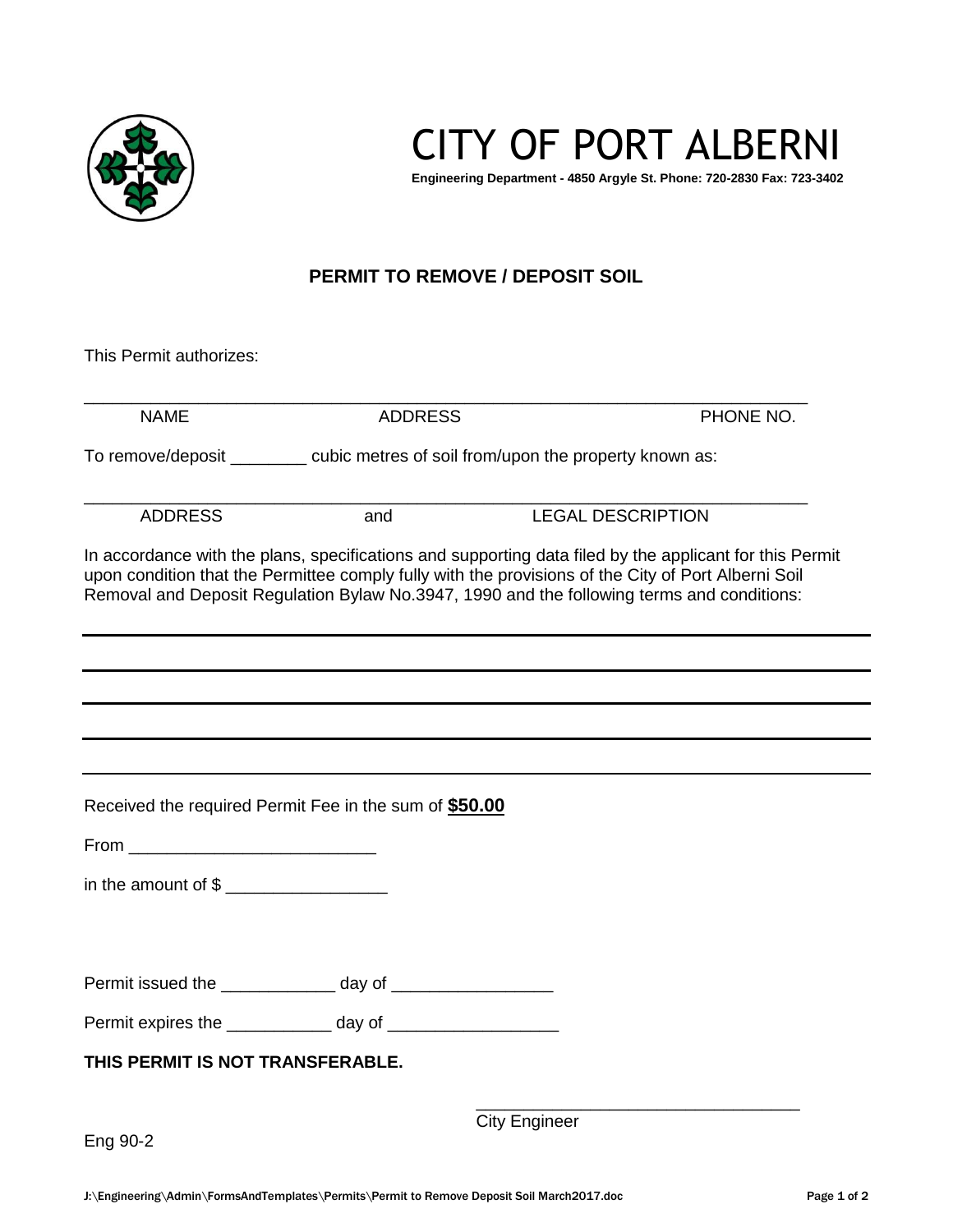

CITY OF PORT ALBERNI

**Engineering Department - 4850 Argyle St. Phone: 720-2830 Fax: 723-3402**

## **PERMIT TO REMOVE / DEPOSIT SOIL**

This Permit authorizes:

|                                                              |     | To remove/deposit ________ cubic metres of soil from/upon the property known as:                                                                                                                                                                                                                             |
|--------------------------------------------------------------|-----|--------------------------------------------------------------------------------------------------------------------------------------------------------------------------------------------------------------------------------------------------------------------------------------------------------------|
|                                                              |     |                                                                                                                                                                                                                                                                                                              |
| <b>ADDRESS</b>                                               | and | <b>LEGAL DESCRIPTION</b>                                                                                                                                                                                                                                                                                     |
|                                                              |     | In accordance with the plans, specifications and supporting data filed by the applicant for this Permit<br>upon condition that the Permittee comply fully with the provisions of the City of Port Alberni Soil<br>Removal and Deposit Regulation Bylaw No.3947, 1990 and the following terms and conditions: |
|                                                              |     |                                                                                                                                                                                                                                                                                                              |
|                                                              |     |                                                                                                                                                                                                                                                                                                              |
| Received the required Permit Fee in the sum of \$50.00       |     |                                                                                                                                                                                                                                                                                                              |
|                                                              |     |                                                                                                                                                                                                                                                                                                              |
|                                                              |     |                                                                                                                                                                                                                                                                                                              |
|                                                              |     |                                                                                                                                                                                                                                                                                                              |
| Permit issued the _______________ day of ___________________ |     |                                                                                                                                                                                                                                                                                                              |
| Permit expires the day of day of                             |     |                                                                                                                                                                                                                                                                                                              |
| THIS PERMIT IS NOT TRANSFERABLE.                             |     |                                                                                                                                                                                                                                                                                                              |
| Eng 90-2                                                     |     | <b>City Engineer</b>                                                                                                                                                                                                                                                                                         |